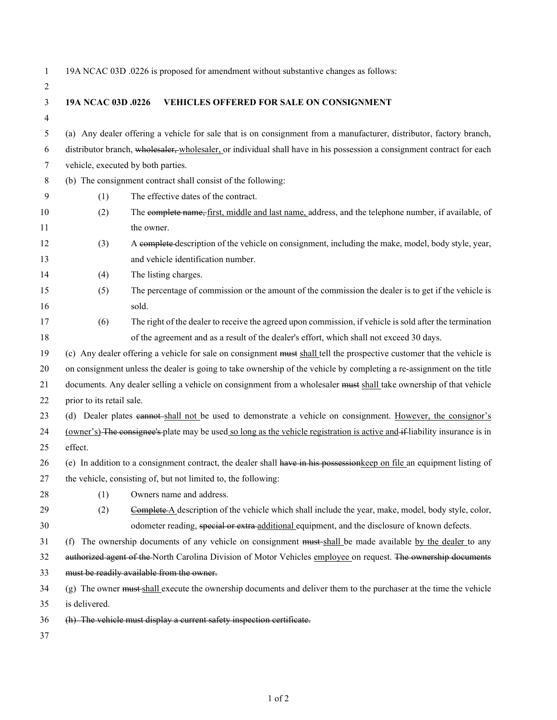| $\mathbf{1}$     |                                                                                                                            | 19A NCAC 03D .0226 is proposed for amendment without substantive changes as follows:                                |  |
|------------------|----------------------------------------------------------------------------------------------------------------------------|---------------------------------------------------------------------------------------------------------------------|--|
| 2                |                                                                                                                            |                                                                                                                     |  |
| 3                | 19A NCAC 03D .0226                                                                                                         | <b>VEHICLES OFFERED FOR SALE ON CONSIGNMENT</b>                                                                     |  |
| 4                |                                                                                                                            |                                                                                                                     |  |
| 5                |                                                                                                                            | (a) Any dealer offering a vehicle for sale that is on consignment from a manufacturer, distributor, factory branch, |  |
| 6                | distributor branch, wholesaler, wholesaler, or individual shall have in his possession a consignment contract for each     |                                                                                                                     |  |
| 7                | vehicle, executed by both parties.                                                                                         |                                                                                                                     |  |
| 8                | (b) The consignment contract shall consist of the following:                                                               |                                                                                                                     |  |
| $\boldsymbol{9}$ | (1)                                                                                                                        | The effective dates of the contract.                                                                                |  |
| 10               | (2)                                                                                                                        | The complete name, first, middle and last name, address, and the telephone number, if available, of                 |  |
| 11               |                                                                                                                            | the owner.                                                                                                          |  |
| 12               | (3)                                                                                                                        | A complete description of the vehicle on consignment, including the make, model, body style, year,                  |  |
| 13               |                                                                                                                            | and vehicle identification number.                                                                                  |  |
| 14               | (4)                                                                                                                        | The listing charges.                                                                                                |  |
| 15               | (5)                                                                                                                        | The percentage of commission or the amount of the commission the dealer is to get if the vehicle is                 |  |
| 16               |                                                                                                                            | sold.                                                                                                               |  |
| 17               | (6)                                                                                                                        | The right of the dealer to receive the agreed upon commission, if vehicle is sold after the termination             |  |
| 18               |                                                                                                                            | of the agreement and as a result of the dealer's effort, which shall not exceed 30 days.                            |  |
| 19               | (c) Any dealer offering a vehicle for sale on consignment must shall tell the prospective customer that the vehicle is     |                                                                                                                     |  |
| 20               | on consignment unless the dealer is going to take ownership of the vehicle by completing a re-assignment on the title      |                                                                                                                     |  |
| 21               | documents. Any dealer selling a vehicle on consignment from a wholesaler must shall take ownership of that vehicle         |                                                                                                                     |  |
| 22               | prior to its retail sale.                                                                                                  |                                                                                                                     |  |
| 23               | (d) Dealer plates eannot-shall not be used to demonstrate a vehicle on consignment. However, the consignor's               |                                                                                                                     |  |
| 24               | (owner's) The consignee's plate may be used so long as the vehicle registration is active and if-liability insurance is in |                                                                                                                     |  |
| 25               | effect.                                                                                                                    |                                                                                                                     |  |
| 26               | (e) In addition to a consignment contract, the dealer shall have in his possessionkeep on file an equipment listing of     |                                                                                                                     |  |
| 27               | the vehicle, consisting of, but not limited to, the following:                                                             |                                                                                                                     |  |
| 28               | (1)                                                                                                                        | Owners name and address.                                                                                            |  |
| 29               | (2)                                                                                                                        | Complete-A description of the vehicle which shall include the year, make, model, body style, color,                 |  |
| 30               |                                                                                                                            | odometer reading, special or extra-additional equipment, and the disclosure of known defects.                       |  |
| 31               |                                                                                                                            | (f) The ownership documents of any vehicle on consignment must-shall be made available by the dealer to any         |  |
| 32               | authorized agent of the North Carolina Division of Motor Vehicles employee on request. The ownership documents             |                                                                                                                     |  |
| 33               | must be readily available from the owner.                                                                                  |                                                                                                                     |  |
| 34               | (g) The owner must shall execute the ownership documents and deliver them to the purchaser at the time the vehicle         |                                                                                                                     |  |
| 35               | is delivered.                                                                                                              |                                                                                                                     |  |
| 36               |                                                                                                                            | (h) The vehicle must display a current safety inspection certificate.                                               |  |
| 37               |                                                                                                                            |                                                                                                                     |  |